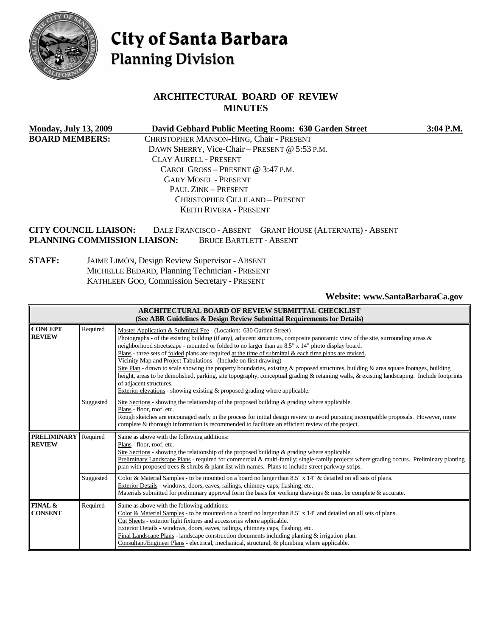

# City of Santa Barbara **Planning Division**

## **ARCHITECTURAL BOARD OF REVIEW MINUTES**

| <b>Monday, July 13, 2009</b> | David Gebhard Public Meeting Room: 630 Garden Street | $3:04$ P.M. |
|------------------------------|------------------------------------------------------|-------------|
| <b>BOARD MEMBERS:</b>        | CHRISTOPHER MANSON-HING, Chair - PRESENT             |             |
|                              | DAWN SHERRY, Vice-Chair - PRESENT @ 5:53 P.M.        |             |
|                              | <b>CLAY AURELL - PRESENT</b>                         |             |
|                              | CAROL GROSS – PRESENT @ $3:47$ P.M.                  |             |
|                              | <b>GARY MOSEL - PRESENT</b>                          |             |
|                              | PAUL ZINK - PRESENT                                  |             |
|                              | CHRISTOPHER GILLILAND - PRESENT                      |             |
|                              | <b>KEITH RIVERA - PRESENT</b>                        |             |
|                              |                                                      |             |

#### **CITY COUNCIL LIAISON:** DALE FRANCISCO - ABSENT GRANT HOUSE (ALTERNATE) - ABSENT **PLANNING COMMISSION LIAISON:** BRUCE BARTLETT - ABSENT

#### **STAFF:** JAIME LIMÓN, Design Review Supervisor - ABSENT MICHELLE BEDARD, Planning Technician - PRESENT KATHLEEN GOO, Commission Secretary - PRESENT

#### **Website: [www.SantaBarbaraCa.gov](http://www.santabarbaraca.gov/)**

| ARCHITECTURAL BOARD OF REVIEW SUBMITTAL CHECKLIST<br>(See ABR Guidelines & Design Review Submittal Requirements for Details) |           |                                                                                                                                                                                                                                                                                                                                                                                                                                                                                                                                                                                                                                                                                                                                                                                                                                                                                                      |
|------------------------------------------------------------------------------------------------------------------------------|-----------|------------------------------------------------------------------------------------------------------------------------------------------------------------------------------------------------------------------------------------------------------------------------------------------------------------------------------------------------------------------------------------------------------------------------------------------------------------------------------------------------------------------------------------------------------------------------------------------------------------------------------------------------------------------------------------------------------------------------------------------------------------------------------------------------------------------------------------------------------------------------------------------------------|
| <b>CONCEPT</b><br><b>REVIEW</b>                                                                                              | Required  | Master Application & Submittal Fee - (Location: 630 Garden Street)<br>Photographs - of the existing building (if any), adjacent structures, composite panoramic view of the site, surrounding areas $\&$<br>neighborhood streetscape - mounted or folded to no larger than an 8.5" x 14" photo display board.<br>Plans - three sets of folded plans are required at the time of submittal $\&$ each time plans are revised.<br>Vicinity Map and Project Tabulations - (Include on first drawing)<br>Site Plan - drawn to scale showing the property boundaries, existing & proposed structures, building & area square footages, building<br>height, areas to be demolished, parking, site topography, conceptual grading & retaining walls, & existing landscaping. Include footprints<br>of adjacent structures.<br>Exterior elevations - showing existing $\&$ proposed grading where applicable. |
|                                                                                                                              | Suggested | Site Sections - showing the relationship of the proposed building $\&$ grading where applicable.<br>Plans - floor, roof, etc.<br>Rough sketches are encouraged early in the process for initial design review to avoid pursuing incompatible proposals. However, more<br>complete & thorough information is recommended to facilitate an efficient review of the project.                                                                                                                                                                                                                                                                                                                                                                                                                                                                                                                            |
| <b>PRELIMINARY</b><br><b>REVIEW</b>                                                                                          | Required  | Same as above with the following additions:<br>Plans - floor, roof, etc.<br>Site Sections - showing the relationship of the proposed building & grading where applicable.<br>Preliminary Landscape Plans - required for commercial & multi-family; single-family projects where grading occurs. Preliminary planting<br>plan with proposed trees & shrubs & plant list with names. Plans to include street parkway strips.                                                                                                                                                                                                                                                                                                                                                                                                                                                                           |
|                                                                                                                              | Suggested | Color & Material Samples - to be mounted on a board no larger than 8.5" x 14" & detailed on all sets of plans.<br>Exterior Details - windows, doors, eaves, railings, chimney caps, flashing, etc.<br>Materials submitted for preliminary approval form the basis for working drawings $\&$ must be complete $\&$ accurate.                                                                                                                                                                                                                                                                                                                                                                                                                                                                                                                                                                          |
| FINAL &<br><b>CONSENT</b>                                                                                                    | Required  | Same as above with the following additions:<br>Color & Material Samples - to be mounted on a board no larger than 8.5" x 14" and detailed on all sets of plans.<br>Cut Sheets - exterior light fixtures and accessories where applicable.<br>Exterior Details - windows, doors, eaves, railings, chimney caps, flashing, etc.<br>Final Landscape Plans - landscape construction documents including planting & irrigation plan.<br>Consultant/Engineer Plans - electrical, mechanical, structural, & plumbing where applicable.                                                                                                                                                                                                                                                                                                                                                                      |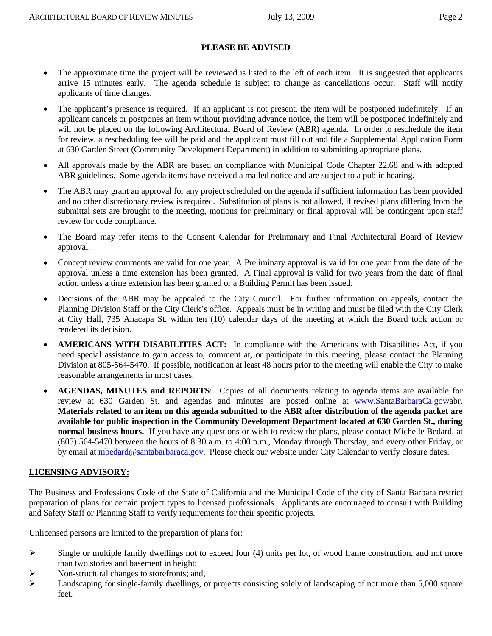#### **PLEASE BE ADVISED**

- The approximate time the project will be reviewed is listed to the left of each item. It is suggested that applicants arrive 15 minutes early. The agenda schedule is subject to change as cancellations occur. Staff will notify applicants of time changes.
- The applicant's presence is required. If an applicant is not present, the item will be postponed indefinitely. If an applicant cancels or postpones an item without providing advance notice, the item will be postponed indefinitely and will not be placed on the following Architectural Board of Review (ABR) agenda. In order to reschedule the item for review, a rescheduling fee will be paid and the applicant must fill out and file a Supplemental Application Form at 630 Garden Street (Community Development Department) in addition to submitting appropriate plans.
- All approvals made by the ABR are based on compliance with Municipal Code Chapter 22.68 and with adopted ABR guidelines. Some agenda items have received a mailed notice and are subject to a public hearing.
- The ABR may grant an approval for any project scheduled on the agenda if sufficient information has been provided and no other discretionary review is required. Substitution of plans is not allowed, if revised plans differing from the submittal sets are brought to the meeting, motions for preliminary or final approval will be contingent upon staff review for code compliance.
- The Board may refer items to the Consent Calendar for Preliminary and Final Architectural Board of Review approval.
- Concept review comments are valid for one year. A Preliminary approval is valid for one year from the date of the approval unless a time extension has been granted. A Final approval is valid for two years from the date of final action unless a time extension has been granted or a Building Permit has been issued.
- Decisions of the ABR may be appealed to the City Council. For further information on appeals, contact the Planning Division Staff or the City Clerk's office. Appeals must be in writing and must be filed with the City Clerk at City Hall, 735 Anacapa St. within ten (10) calendar days of the meeting at which the Board took action or rendered its decision.
- **AMERICANS WITH DISABILITIES ACT:** In compliance with the Americans with Disabilities Act, if you need special assistance to gain access to, comment at, or participate in this meeting, please contact the Planning Division at 805-564-5470. If possible, notification at least 48 hours prior to the meeting will enable the City to make reasonable arrangements in most cases.
- **AGENDAS, MINUTES and REPORTS**: Copies of all documents relating to agenda items are available for review at 630 Garden St. and agendas and minutes are posted online at [www.SantaBarbaraCa.gov/](http://www.santabarbaraca.gov/)abr. **Materials related to an item on this agenda submitted to the ABR after distribution of the agenda packet are available for public inspection in the Community Development Department located at 630 Garden St., during normal business hours.** If you have any questions or wish to review the plans, please contact Michelle Bedard, at (805) 564-5470 between the hours of 8:30 a.m. to 4:00 p.m., Monday through Thursday, and every other Friday, or by email at [mbedard@santabarbaraca.gov](mailto:mbedard@santabarbaraca.gov). Please check our website under City Calendar to verify closure dates.

#### **LICENSING ADVISORY:**

The Business and Professions Code of the State of California and the Municipal Code of the city of Santa Barbara restrict preparation of plans for certain project types to licensed professionals. Applicants are encouraged to consult with Building and Safety Staff or Planning Staff to verify requirements for their specific projects.

Unlicensed persons are limited to the preparation of plans for:

- $\triangleright$  Single or multiple family dwellings not to exceed four (4) units per lot, of wood frame construction, and not more than two stories and basement in height;
- ¾ Non-structural changes to storefronts; and,
- $\blacktriangleright$  Landscaping for single-family dwellings, or projects consisting solely of landscaping of not more than 5,000 square feet.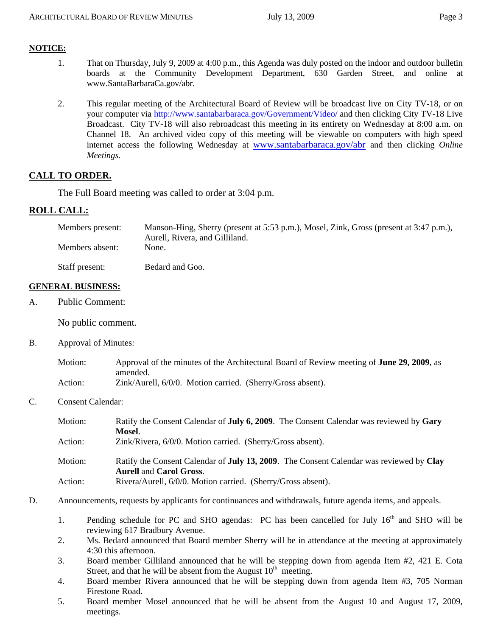#### **NOTICE:**

- 1. That on Thursday, July 9, 2009 at 4:00 p.m., this Agenda was duly posted on the indoor and outdoor bulletin boards at the Community Development Department, 630 Garden Street, and online at [www.SantaBarbaraCa.gov/abr.](http://www.santabarbaraca.gov/abr)
- 2. This regular meeting of the Architectural Board of Review will be broadcast live on City TV-18, or on your computer via <http://www.santabarbaraca.gov/Government/Video/> and then clicking City TV-18 Live Broadcast. City TV-18 will also rebroadcast this meeting in its entirety on Wednesday at 8:00 a.m. on Channel 18. An archived video copy of this meeting will be viewable on computers with high speed internet access the following Wednesday at [www.santabarbaraca.gov/abr](http://www.santabarbaraca.gov/abr) and then clicking *Online Meetings.*

#### **CALL TO ORDER.**

The Full Board meeting was called to order at 3:04 p.m.

#### **ROLL CALL:**

| Members present: | Manson-Hing, Sherry (present at 5:53 p.m.), Mosel, Zink, Gross (present at 3:47 p.m.),<br>Aurell, Rivera, and Gilliland. |
|------------------|--------------------------------------------------------------------------------------------------------------------------|
| Members absent:  | None.                                                                                                                    |
| Staff present:   | Bedard and Goo.                                                                                                          |

#### **GENERAL BUSINESS:**

A. Public Comment:

No public comment.

B. Approval of Minutes:

| Motion: | Approval of the minutes of the Architectural Board of Review meeting of <b>June 29, 2009</b> , as |
|---------|---------------------------------------------------------------------------------------------------|
|         | amended.                                                                                          |
| Action: | Zink/Aurell, 6/0/0. Motion carried. (Sherry/Gross absent).                                        |

C. Consent Calendar:

| Motion: | Ratify the Consent Calendar of <b>July 6, 2009</b> . The Consent Calendar was reviewed by Gary<br>Mosel.                          |
|---------|-----------------------------------------------------------------------------------------------------------------------------------|
| Action: | Zink/Rivera, 6/0/0. Motion carried. (Sherry/Gross absent).                                                                        |
| Motion: | Ratify the Consent Calendar of <b>July 13, 2009</b> . The Consent Calendar was reviewed by Clay<br><b>Aurell and Carol Gross.</b> |
| Action: | Rivera/Aurell, 6/0/0. Motion carried. (Sherry/Gross absent).                                                                      |

- D. Announcements, requests by applicants for continuances and withdrawals, future agenda items, and appeals.
	- 1. Pending schedule for PC and SHO agendas: PC has been cancelled for July  $16<sup>th</sup>$  and SHO will be reviewing 617 Bradbury Avenue.
	- 2. Ms. Bedard announced that Board member Sherry will be in attendance at the meeting at approximately 4:30 this afternoon.
	- 3. Board member Gilliland announced that he will be stepping down from agenda Item #2, 421 E. Cota Street, and that he will be absent from the August  $10<sup>th</sup>$  meeting.
	- 4. Board member Rivera announced that he will be stepping down from agenda Item #3, 705 Norman Firestone Road.
	- 5. Board member Mosel announced that he will be absent from the August 10 and August 17, 2009, meetings.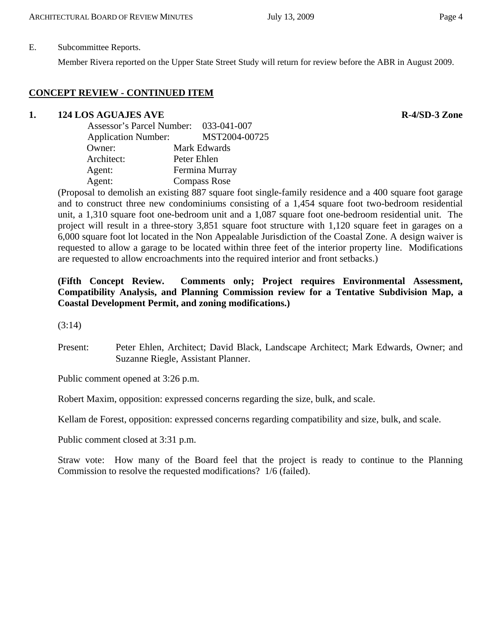#### E. Subcommittee Reports.

Member Rivera reported on the Upper State Street Study will return for review before the ABR in August 2009.

## **CONCEPT REVIEW - CONTINUED ITEM**

## **1.** 124 LOS AGUAJES AVE R-4/SD-3 Zone

| Assessor's Parcel Number: 033-041-007 |                     |
|---------------------------------------|---------------------|
| <b>Application Number:</b>            | MST2004-00725       |
| Owner:                                | Mark Edwards        |
| Architect:                            | Peter Ehlen         |
| Agent:                                | Fermina Murray      |
| Agent:                                | <b>Compass Rose</b> |

(Proposal to demolish an existing 887 square foot single-family residence and a 400 square foot garage and to construct three new condominiums consisting of a 1,454 square foot two-bedroom residential unit, a 1,310 square foot one-bedroom unit and a 1,087 square foot one-bedroom residential unit. The project will result in a three-story 3,851 square foot structure with 1,120 square feet in garages on a 6,000 square foot lot located in the Non Appealable Jurisdiction of the Coastal Zone. A design waiver is requested to allow a garage to be located within three feet of the interior property line. Modifications are requested to allow encroachments into the required interior and front setbacks.)

## **(Fifth Concept Review. Comments only; Project requires Environmental Assessment, Compatibility Analysis, and Planning Commission review for a Tentative Subdivision Map, a Coastal Development Permit, and zoning modifications.)**

(3:14)

Present: Peter Ehlen, Architect; David Black, Landscape Architect; Mark Edwards, Owner; and Suzanne Riegle, Assistant Planner.

Public comment opened at 3:26 p.m.

Robert Maxim, opposition: expressed concerns regarding the size, bulk, and scale.

Kellam de Forest, opposition: expressed concerns regarding compatibility and size, bulk, and scale.

Public comment closed at 3:31 p.m.

Straw vote: How many of the Board feel that the project is ready to continue to the Planning Commission to resolve the requested modifications? 1/6 (failed).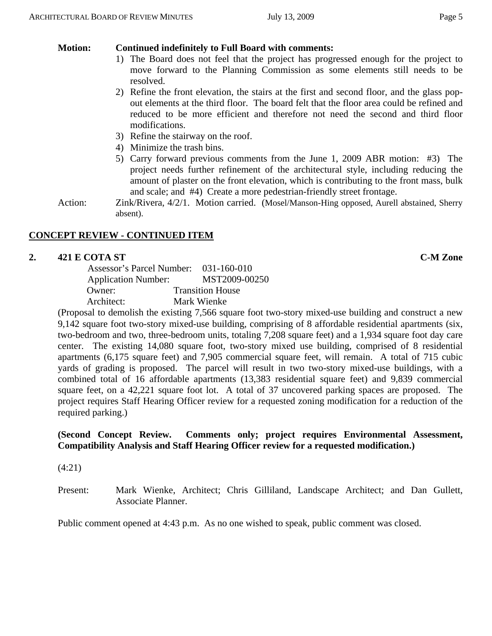# **Motion: Continued indefinitely to Full Board with comments:**

- 1) The Board does not feel that the project has progressed enough for the project to move forward to the Planning Commission as some elements still needs to be resolved.
- 2) Refine the front elevation, the stairs at the first and second floor, and the glass popout elements at the third floor. The board felt that the floor area could be refined and reduced to be more efficient and therefore not need the second and third floor modifications.
- 3) Refine the stairway on the roof.
- 4) Minimize the trash bins.
- 5) Carry forward previous comments from the June 1, 2009 ABR motion: #3) The project needs further refinement of the architectural style, including reducing the amount of plaster on the front elevation, which is contributing to the front mass, bulk and scale; and #4) Create a more pedestrian-friendly street frontage.
- Action: Zink/Rivera, 4/2/1. Motion carried. (Mosel/Manson-Hing opposed, Aurell abstained, Sherry absent).

# **CONCEPT REVIEW - CONTINUED ITEM**

# **2. 421 E COTA ST C-M Zone**

 Assessor's Parcel Number: 031-160-010 Application Number: MST2009-00250 Owner: Transition House Architect: Mark Wienke

(Proposal to demolish the existing 7,566 square foot two-story mixed-use building and construct a new 9,142 square foot two-story mixed-use building, comprising of 8 affordable residential apartments (six, two-bedroom and two, three-bedroom units, totaling 7,208 square feet) and a 1,934 square foot day care center. The existing 14,080 square foot, two-story mixed use building, comprised of 8 residential apartments (6,175 square feet) and 7,905 commercial square feet, will remain. A total of 715 cubic yards of grading is proposed. The parcel will result in two two-story mixed-use buildings, with a combined total of 16 affordable apartments (13,383 residential square feet) and 9,839 commercial square feet, on a 42,221 square foot lot. A total of 37 uncovered parking spaces are proposed. The project requires Staff Hearing Officer review for a requested zoning modification for a reduction of the required parking.)

## **(Second Concept Review. Comments only; project requires Environmental Assessment, Compatibility Analysis and Staff Hearing Officer review for a requested modification.)**

(4:21)

Present: Mark Wienke, Architect; Chris Gilliland, Landscape Architect; and Dan Gullett, Associate Planner.

Public comment opened at 4:43 p.m. As no one wished to speak, public comment was closed.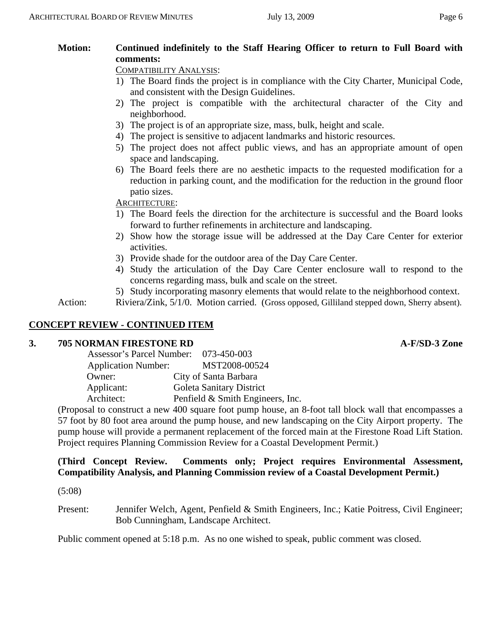# **Motion: Continued indefinitely to the Staff Hearing Officer to return to Full Board with comments:**

COMPATIBILITY ANALYSIS:

- 1) The Board finds the project is in compliance with the City Charter, Municipal Code, and consistent with the Design Guidelines.
- 2) The project is compatible with the architectural character of the City and neighborhood.
- 3) The project is of an appropriate size, mass, bulk, height and scale.
- 4) The project is sensitive to adjacent landmarks and historic resources.
- 5) The project does not affect public views, and has an appropriate amount of open space and landscaping.
- 6) The Board feels there are no aesthetic impacts to the requested modification for a reduction in parking count, and the modification for the reduction in the ground floor patio sizes.

## ARCHITECTURE:

- 1) The Board feels the direction for the architecture is successful and the Board looks forward to further refinements in architecture and landscaping.
- 2) Show how the storage issue will be addressed at the Day Care Center for exterior activities.
- 3) Provide shade for the outdoor area of the Day Care Center.
- 4) Study the articulation of the Day Care Center enclosure wall to respond to the concerns regarding mass, bulk and scale on the street.
- 5) Study incorporating masonry elements that would relate to the neighborhood context.

Action: Riviera/Zink, 5/1/0. Motion carried. (Gross opposed, Gilliland stepped down, Sherry absent).

## **CONCEPT REVIEW - CONTINUED ITEM**

#### **3. 705 NORMAN FIRESTONE RD A-F/SD-3 Zone**

| Assessor's Parcel Number: 073-450-003 |                                  |
|---------------------------------------|----------------------------------|
| <b>Application Number:</b>            | MST2008-00524                    |
| Owner:                                | City of Santa Barbara            |
| Applicant:                            | Goleta Sanitary District         |
| Architect:                            | Penfield & Smith Engineers, Inc. |

(Proposal to construct a new 400 square foot pump house, an 8-foot tall block wall that encompasses a 57 foot by 80 foot area around the pump house, and new landscaping on the City Airport property. The pump house will provide a permanent replacement of the forced main at the Firestone Road Lift Station. Project requires Planning Commission Review for a Coastal Development Permit.)

#### **(Third Concept Review. Comments only; Project requires Environmental Assessment, Compatibility Analysis, and Planning Commission review of a Coastal Development Permit.)**

(5:08)

Present: Jennifer Welch, Agent, Penfield & Smith Engineers, Inc.; Katie Poitress, Civil Engineer; Bob Cunningham, Landscape Architect.

Public comment opened at 5:18 p.m. As no one wished to speak, public comment was closed.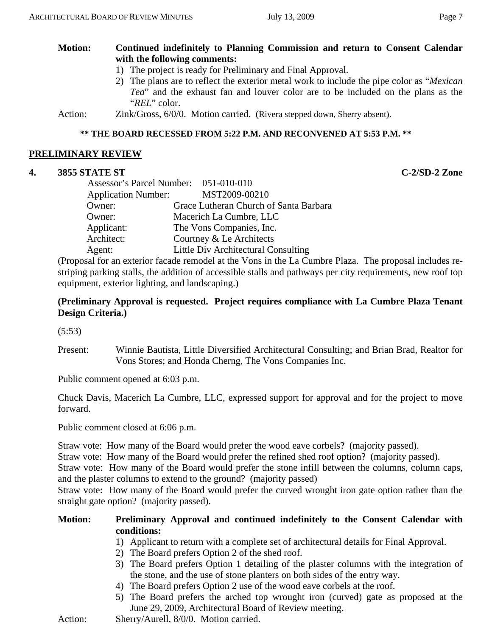## **Motion: Continued indefinitely to Planning Commission and return to Consent Calendar with the following comments:**

- 1) The project is ready for Preliminary and Final Approval.
- 2) The plans are to reflect the exterior metal work to include the pipe color as "*Mexican Tea*" and the exhaust fan and louver color are to be included on the plans as the "*REL*" color.

Action: Zink/Gross, 6/0/0. Motion carried. (Rivera stepped down, Sherry absent).

#### **\*\* THE BOARD RECESSED FROM 5:22 P.M. AND RECONVENED AT 5:53 P.M. \*\***

#### **PRELIMINARY REVIEW**

#### **4. 3855 STATE ST C-2/SD-2 Zone**

| Assessor's Parcel Number: 051-010-010 |                                        |
|---------------------------------------|----------------------------------------|
| <b>Application Number:</b>            | MST2009-00210                          |
| Owner:                                | Grace Lutheran Church of Santa Barbara |
| Owner:                                | Macerich La Cumbre, LLC                |
| Applicant:                            | The Vons Companies, Inc.               |
| Architect:                            | Courtney & Le Architects               |
| Agent:                                | Little Div Architectural Consulting    |
|                                       |                                        |

(Proposal for an exterior facade remodel at the Vons in the La Cumbre Plaza. The proposal includes restriping parking stalls, the addition of accessible stalls and pathways per city requirements, new roof top equipment, exterior lighting, and landscaping.)

## **(Preliminary Approval is requested. Project requires compliance with La Cumbre Plaza Tenant Design Criteria.)**

(5:53)

Present: Winnie Bautista, Little Diversified Architectural Consulting; and Brian Brad, Realtor for Vons Stores; and Honda Cherng, The Vons Companies Inc.

Public comment opened at 6:03 p.m.

Chuck Davis, Macerich La Cumbre, LLC, expressed support for approval and for the project to move forward.

Public comment closed at 6:06 p.m.

Straw vote: How many of the Board would prefer the wood eave corbels? (majority passed).

Straw vote: How many of the Board would prefer the refined shed roof option? (majority passed).

Straw vote: How many of the Board would prefer the stone infill between the columns, column caps, and the plaster columns to extend to the ground? (majority passed)

Straw vote: How many of the Board would prefer the curved wrought iron gate option rather than the straight gate option? (majority passed).

#### **Motion: Preliminary Approval and continued indefinitely to the Consent Calendar with conditions:**

- 1) Applicant to return with a complete set of architectural details for Final Approval.
- 2) The Board prefers Option 2 of the shed roof.
- 3) The Board prefers Option 1 detailing of the plaster columns with the integration of the stone, and the use of stone planters on both sides of the entry way.
- 4) The Board prefers Option 2 use of the wood eave corbels at the roof.
- 5) The Board prefers the arched top wrought iron (curved) gate as proposed at the June 29, 2009, Architectural Board of Review meeting.

Action: Sherry/Aurell, 8/0/0. Motion carried.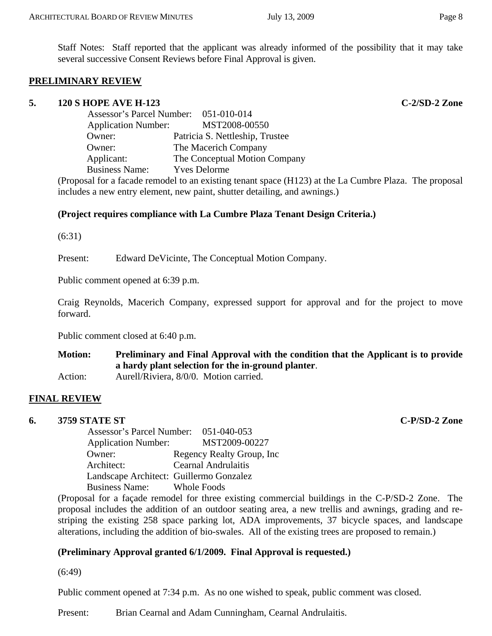Staff Notes: Staff reported that the applicant was already informed of the possibility that it may take several successive Consent Reviews before Final Approval is given.

#### **PRELIMINARY REVIEW**

#### **5. 120 S HOPE AVE H-123 C-2/SD-2 Zone**

| Assessor's Parcel Number: 051-010-014 |                     |                                 |
|---------------------------------------|---------------------|---------------------------------|
| <b>Application Number:</b>            |                     | MST2008-00550                   |
| Owner:                                |                     | Patricia S. Nettleship, Trustee |
| Owner:                                |                     | The Macerich Company            |
| Applicant:                            |                     | The Conceptual Motion Company   |
| <b>Business Name:</b>                 | <b>Yves Delorme</b> |                                 |
| $\sim$ $\sim$ $\sim$ $\sim$           |                     |                                 |

(Proposal for a facade remodel to an existing tenant space (H123) at the La Cumbre Plaza. The proposal includes a new entry element, new paint, shutter detailing, and awnings.)

#### **(Project requires compliance with La Cumbre Plaza Tenant Design Criteria.)**

(6:31)

Present: Edward DeVicinte, The Conceptual Motion Company.

Public comment opened at 6:39 p.m.

Craig Reynolds, Macerich Company, expressed support for approval and for the project to move forward.

Public comment closed at 6:40 p.m.

**Motion: Preliminary and Final Approval with the condition that the Applicant is to provide a hardy plant selection for the in-ground planter**. Action: Aurell/Riviera, 8/0/0. Motion carried.

#### **FINAL REVIEW**

#### **6. 3759 STATE ST C-P/SD-2 Zone**

| Assessor's Parcel Number: 051-040-053   |                            |
|-----------------------------------------|----------------------------|
| <b>Application Number:</b>              | MST2009-00227              |
| Owner:                                  | Regency Realty Group, Inc. |
| Architect:                              | <b>Cearnal Andrulaitis</b> |
| Landscape Architect: Guillermo Gonzalez |                            |
| <b>Business Name:</b> Whole Foods       |                            |

(Proposal for a façade remodel for three existing commercial buildings in the C-P/SD-2 Zone. The proposal includes the addition of an outdoor seating area, a new trellis and awnings, grading and restriping the existing 258 space parking lot, ADA improvements, 37 bicycle spaces, and landscape alterations, including the addition of bio-swales. All of the existing trees are proposed to remain.)

## **(Preliminary Approval granted 6/1/2009. Final Approval is requested.)**

(6:49)

Public comment opened at 7:34 p.m. As no one wished to speak, public comment was closed.

Present: Brian Cearnal and Adam Cunningham, Cearnal Andrulaitis.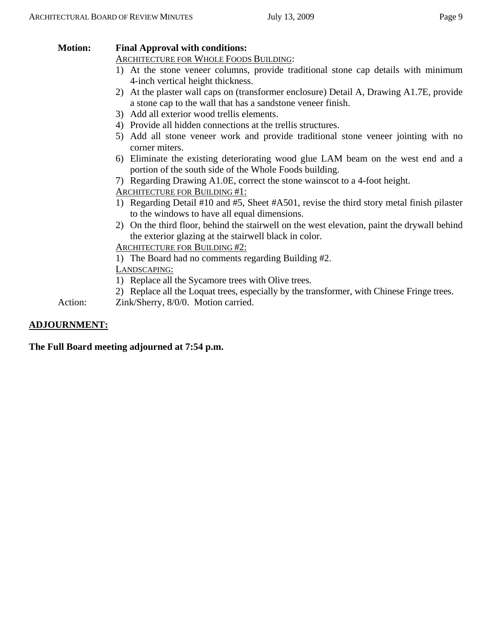## **Motion: Final Approval with conditions:**

## ARCHITECTURE FOR WHOLE FOODS BUILDING:

- 1) At the stone veneer columns, provide traditional stone cap details with minimum 4-inch vertical height thickness.
- 2) At the plaster wall caps on (transformer enclosure) Detail A, Drawing A1.7E, provide a stone cap to the wall that has a sandstone veneer finish.
- 3) Add all exterior wood trellis elements.
- 4) Provide all hidden connections at the trellis structures.
- 5) Add all stone veneer work and provide traditional stone veneer jointing with no corner miters.
- 6) Eliminate the existing deteriorating wood glue LAM beam on the west end and a portion of the south side of the Whole Foods building.
- 7) Regarding Drawing A1.0E, correct the stone wainscot to a 4-foot height.
- ARCHITECTURE FOR BUILDING #1:
- 1) Regarding Detail #10 and #5, Sheet #A501, revise the third story metal finish pilaster to the windows to have all equal dimensions.
- 2) On the third floor, behind the stairwell on the west elevation, paint the drywall behind the exterior glazing at the stairwell black in color.

## ARCHITECTURE FOR BUILDING #2:

1) The Board had no comments regarding Building #2.

LANDSCAPING:

- 1) Replace all the Sycamore trees with Olive trees.
- 2) Replace all the Loquat trees, especially by the transformer, with Chinese Fringe trees.
- Action: Zink/Sherry, 8/0/0. Motion carried.

## **ADJOURNMENT:**

**The Full Board meeting adjourned at 7:54 p.m.**